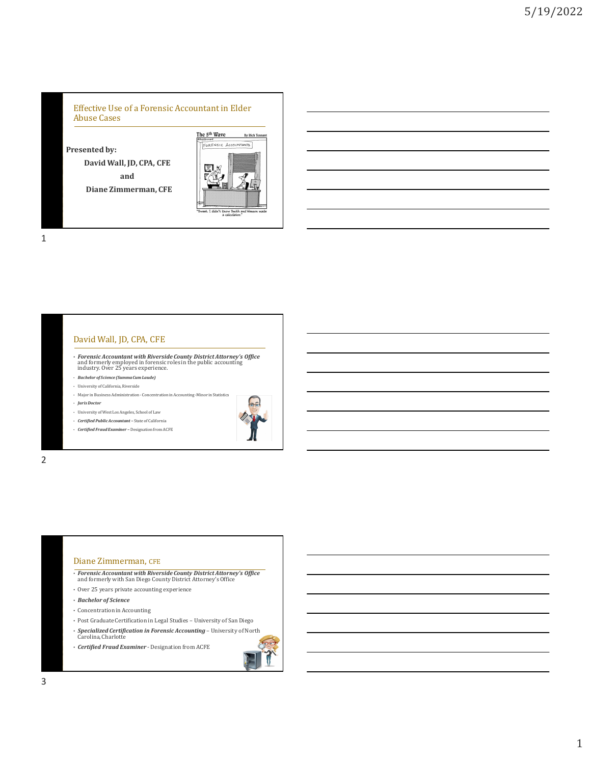#### Effective Use of a Forensic Accountant in Elder Abuse Cases

**Presented by:**

**David Wall, JD, CPA, CFE and Diane Zimmerman, CFE**



1

## David Wall, JD, CPA, CFE

- *Forensic Accountant with Riverside County District Attorney's Office*<br>and formerly employed in forensic roles in the public accounting<br>industry. Over 25 years experience.
- *Bachelor of Science (Summa Cum Laude)*
- University of California, Riverside
- Major in Business Administration Concentration in Accounting -Minor in Statistics
- *Juris Doctor*
- University of West Los Angeles, School of Law
- *Certified Public Accountant –* State of California
- *Certified Fraud Examiner –* Designation from ACFE



2

## Diane Zimmerman, CFE

- *Forensic Accountant with Riverside County District Attorney's Office*  and formerly with San Diego County District Attorney's Office
- Over 25 years private accounting experience
- *Bachelor of Science*
- Concentration in Accounting
- Post Graduate Certification in Legal Studies University of San Diego
- *Specialized Certification in Forensic Accounting* University of North Carolina, Charlotte
- *Certified Fraud Examiner*  Designation from ACFE

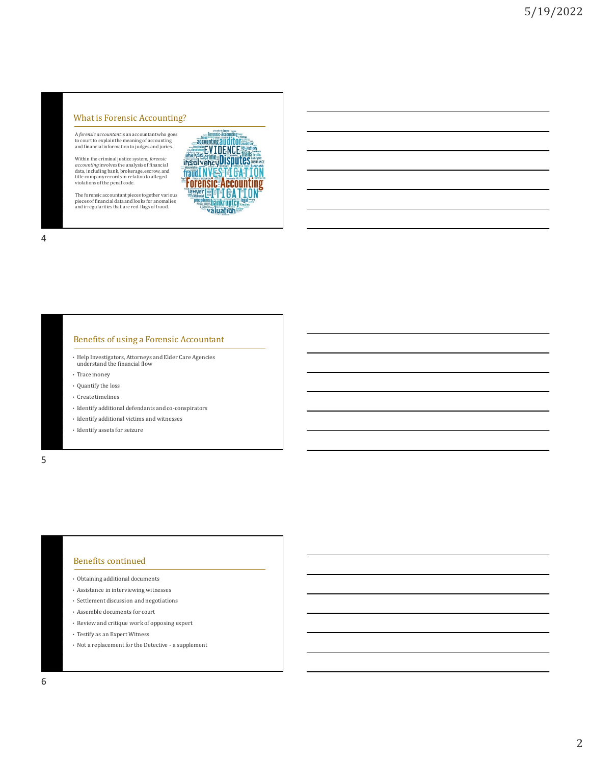A *forensic accountant*is an accountant who goes to court to explain the meaning of accounting and financial information to judges and juries.

What is Forensic Accounting?<br>
A *forensic accountant* is a accountant who goes<br>
to count to explain the meaning of accounting<br>
and financial information to judges and juries.<br>
Within the criminal justice system, *forensic* Within the criminal justice system, *forensic*<br>*accounting* involves the analysis of financial<br>data, including bank, brokerage, escrow, and<br>title company records in relation to alleged<br>violations of the penal code.

The forensic accountant pieces together various pieces of financial data and looks for anomalies and irregularities that are red-flags of fraud.

**sedures bankruptcy.**<br>Waluation



#### Benefits of using a Forensic Accountant

- Help Investigators, Attorneys and Elder Care Agencies understand the financial flow
- Trace money
- Quantify the loss
- Create timelines
- Identify additional defendants and co-conspirators
- $\bullet~$  Identify additional victims and witnesses
- Identify assets for seizure

5

### Benefits continued

- Obtaining additional documents
- Assistance in interviewing witnesses
- Settlement discussion and negotiations
- Assemble documents for court
- Review and critique work of opposing expert
- Testify as an Expert Witness
- Not a replacement for the Detective a supplement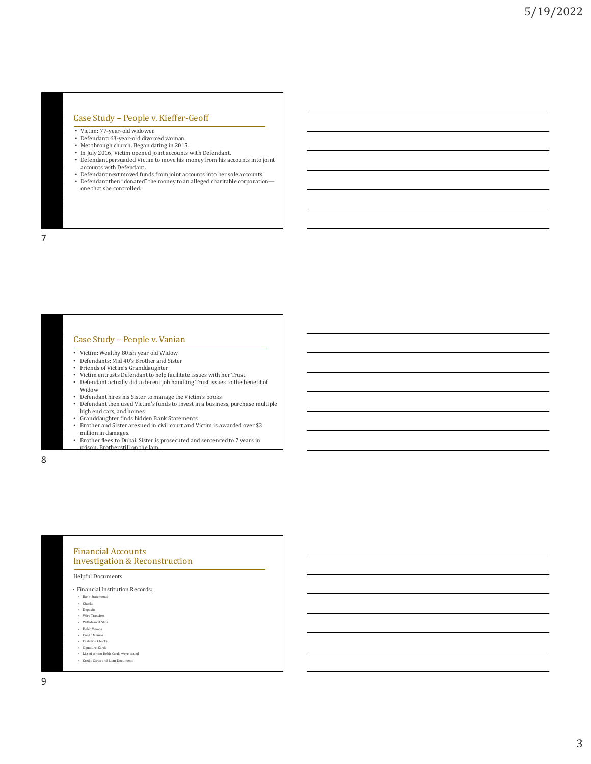#### Case Study – People v. Kieffer-Geoff

- 
- Victim: 77-year-old widower. Defendant: 63-year-old divorced woman.
- Met through church. Began dating in 2015.
- In July 2016, Victim opened joint accounts with Defendant. • Defendant persuaded Victim to move his money from his accounts into joint
- accounts with Defendant. • Defendant next moved funds from joint accounts into her sole accounts. • Defendant then "donated" the money to an alleged charitable corporation—
- one that she controlled.

7

#### Case Study – People v. Vanian

- Victim: Wealthy 80ish year old Widow
- Defendants: Mid 40's Brother and Sister
- 
- Friends of Victim's Granddaughter Victim entrusts Defendant to help facilitate issues with her Trust • Defendant actually did a decent job handling Trust issues to the benefit of
- Widow
- Defendant hires his Sister to manage the Victim's books
- Defendant then used Victim's funds to invest in a business, purchase multiple high end cars, and homes • Granddaughter finds hidden Bank Statements
- 
- Brother and Sister are sued in civil court and Victim is awarded over \$3 million in damages.
- Brother flees to Dubai. Sister is prosecuted and sentenced to 7 years in ison. Brother still on the lam

8

# Financial Accounts Investigation & Reconstruction Helpful Documents

- Financial Institution Records:
- Bank State • Checks
- Deposits
- Wire Transfers
- Withdrawal Slips
- Debit Memos
- Credit Memos • Cashier's Checks
- Signature Cards
- List of whom Debit Cards were issued
- Credit Cards and Loan Documents